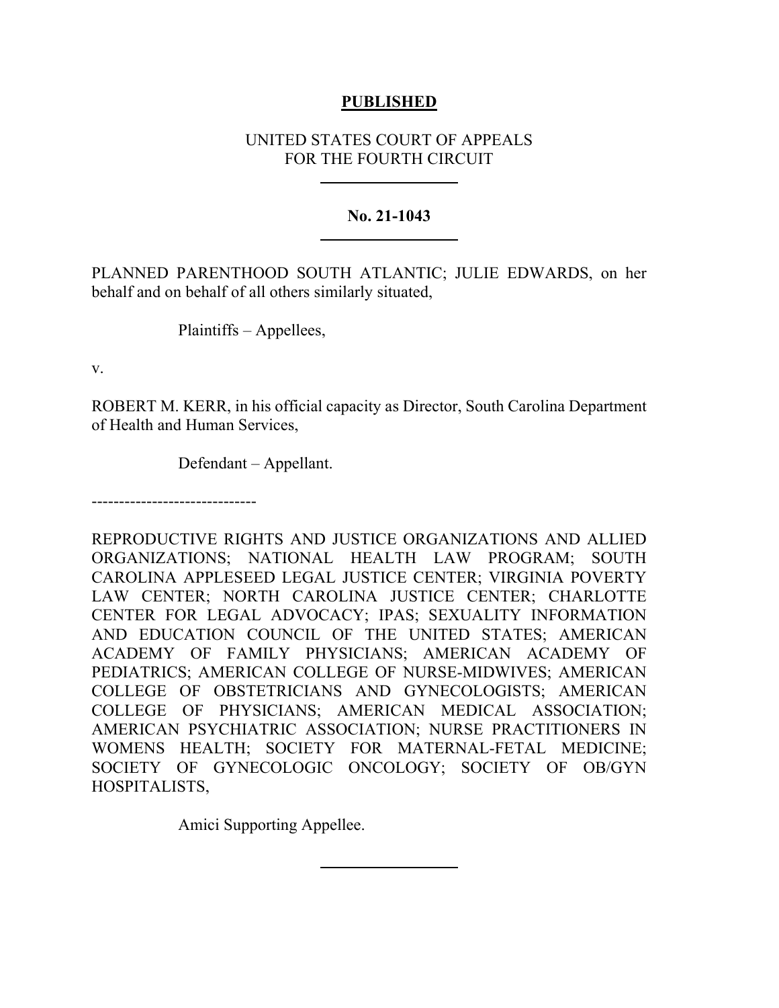## **PUBLISHED**

# UNITED STATES COURT OF APPEALS FOR THE FOURTH CIRCUIT

## **No. 21-1043**

PLANNED PARENTHOOD SOUTH ATLANTIC; JULIE EDWARDS, on her behalf and on behalf of all others similarly situated,

Plaintiffs – Appellees,

v.

ROBERT M. KERR, in his official capacity as Director, South Carolina Department of Health and Human Services,

Defendant – Appellant.

------------------------------

REPRODUCTIVE RIGHTS AND JUSTICE ORGANIZATIONS AND ALLIED ORGANIZATIONS; NATIONAL HEALTH LAW PROGRAM; SOUTH CAROLINA APPLESEED LEGAL JUSTICE CENTER; VIRGINIA POVERTY LAW CENTER; NORTH CAROLINA JUSTICE CENTER; CHARLOTTE CENTER FOR LEGAL ADVOCACY; IPAS; SEXUALITY INFORMATION AND EDUCATION COUNCIL OF THE UNITED STATES; AMERICAN ACADEMY OF FAMILY PHYSICIANS; AMERICAN ACADEMY OF PEDIATRICS; AMERICAN COLLEGE OF NURSE-MIDWIVES; AMERICAN COLLEGE OF OBSTETRICIANS AND GYNECOLOGISTS; AMERICAN COLLEGE OF PHYSICIANS; AMERICAN MEDICAL ASSOCIATION; AMERICAN PSYCHIATRIC ASSOCIATION; NURSE PRACTITIONERS IN WOMENS HEALTH; SOCIETY FOR MATERNAL-FETAL MEDICINE; SOCIETY OF GYNECOLOGIC ONCOLOGY; SOCIETY OF OB/GYN HOSPITALISTS,

Amici Supporting Appellee.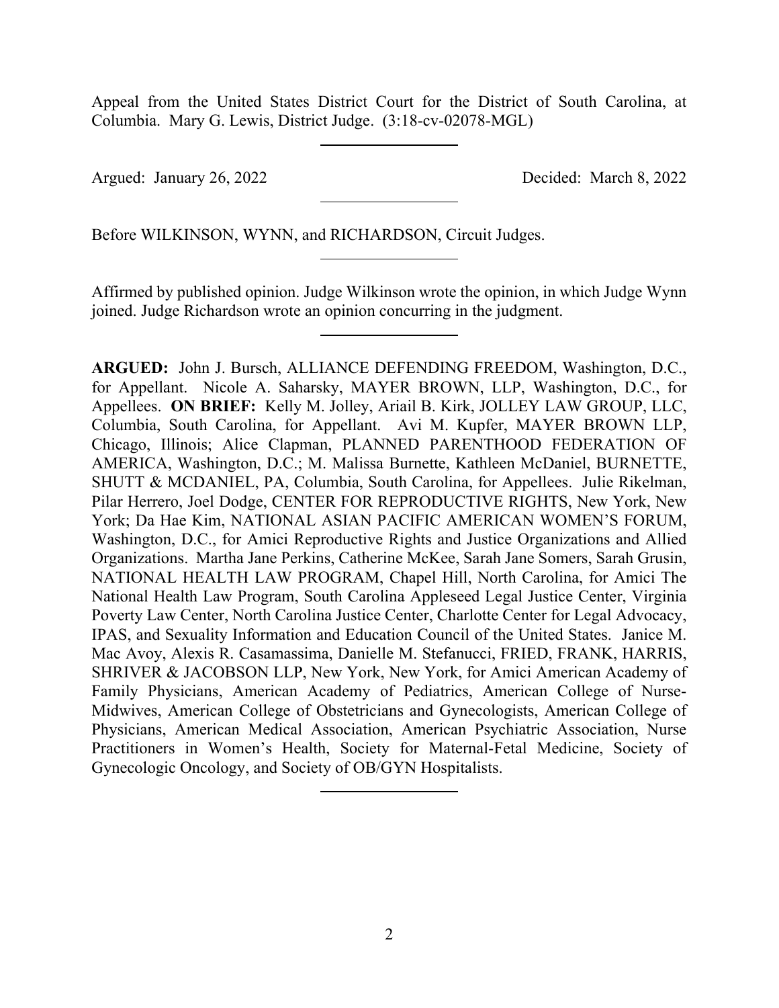Appeal from the United States District Court for the District of South Carolina, at Columbia. Mary G. Lewis, District Judge. (3:18-cv-02078-MGL)

Argued: January 26, 2022 Decided: March 8, 2022

Before WILKINSON, WYNN, and RICHARDSON, Circuit Judges.

Affirmed by published opinion. Judge Wilkinson wrote the opinion, in which Judge Wynn joined. Judge Richardson wrote an opinion concurring in the judgment.

**ARGUED:** John J. Bursch, ALLIANCE DEFENDING FREEDOM, Washington, D.C., for Appellant. Nicole A. Saharsky, MAYER BROWN, LLP, Washington, D.C., for Appellees. **ON BRIEF:** Kelly M. Jolley, Ariail B. Kirk, JOLLEY LAW GROUP, LLC, Columbia, South Carolina, for Appellant. Avi M. Kupfer, MAYER BROWN LLP, Chicago, Illinois; Alice Clapman, PLANNED PARENTHOOD FEDERATION OF AMERICA, Washington, D.C.; M. Malissa Burnette, Kathleen McDaniel, BURNETTE, SHUTT & MCDANIEL, PA, Columbia, South Carolina, for Appellees. Julie Rikelman, Pilar Herrero, Joel Dodge, CENTER FOR REPRODUCTIVE RIGHTS, New York, New York; Da Hae Kim, NATIONAL ASIAN PACIFIC AMERICAN WOMEN'S FORUM, Washington, D.C., for Amici Reproductive Rights and Justice Organizations and Allied Organizations. Martha Jane Perkins, Catherine McKee, Sarah Jane Somers, Sarah Grusin, NATIONAL HEALTH LAW PROGRAM, Chapel Hill, North Carolina, for Amici The National Health Law Program, South Carolina Appleseed Legal Justice Center, Virginia Poverty Law Center, North Carolina Justice Center, Charlotte Center for Legal Advocacy, IPAS, and Sexuality Information and Education Council of the United States. Janice M. Mac Avoy, Alexis R. Casamassima, Danielle M. Stefanucci, FRIED, FRANK, HARRIS, SHRIVER & JACOBSON LLP, New York, New York, for Amici American Academy of Family Physicians, American Academy of Pediatrics, American College of Nurse-Midwives, American College of Obstetricians and Gynecologists, American College of Physicians, American Medical Association, American Psychiatric Association, Nurse Practitioners in Women's Health, Society for Maternal-Fetal Medicine, Society of Gynecologic Oncology, and Society of OB/GYN Hospitalists.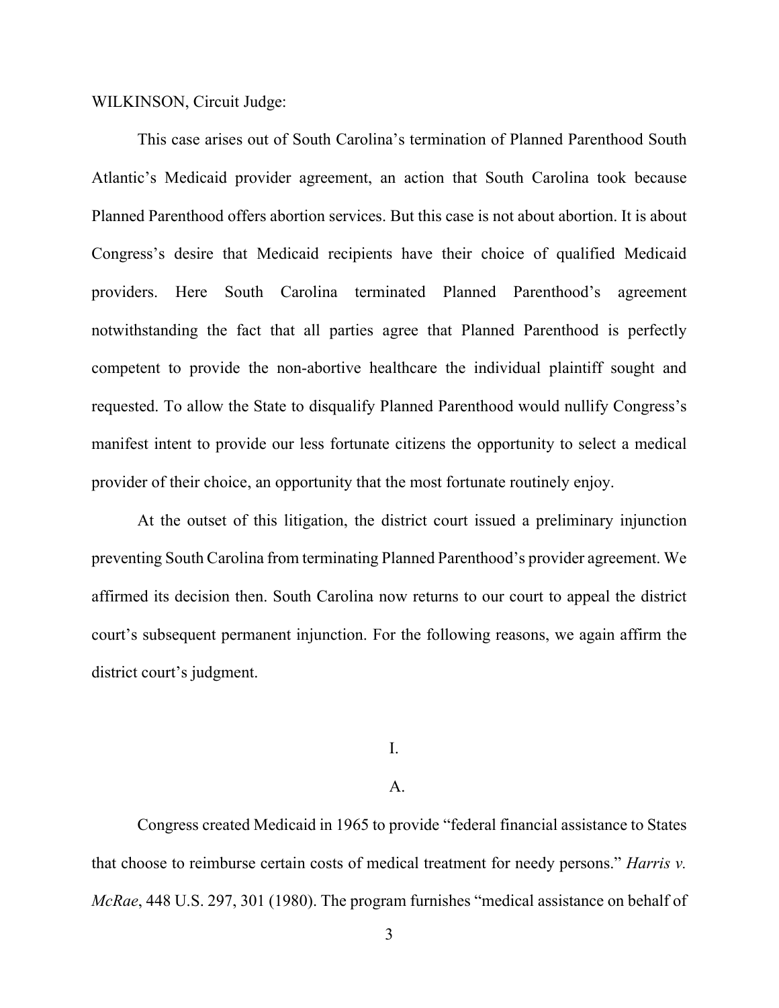WILKINSON, Circuit Judge:

This case arises out of South Carolina's termination of Planned Parenthood South Atlantic's Medicaid provider agreement, an action that South Carolina took because Planned Parenthood offers abortion services. But this case is not about abortion. It is about Congress's desire that Medicaid recipients have their choice of qualified Medicaid providers. Here South Carolina terminated Planned Parenthood's agreement notwithstanding the fact that all parties agree that Planned Parenthood is perfectly competent to provide the non-abortive healthcare the individual plaintiff sought and requested. To allow the State to disqualify Planned Parenthood would nullify Congress's manifest intent to provide our less fortunate citizens the opportunity to select a medical provider of their choice, an opportunity that the most fortunate routinely enjoy.

At the outset of this litigation, the district court issued a preliminary injunction preventing South Carolina from terminating Planned Parenthood's provider agreement. We affirmed its decision then. South Carolina now returns to our court to appeal the district court's subsequent permanent injunction. For the following reasons, we again affirm the district court's judgment.

I.

#### A.

Congress created Medicaid in 1965 to provide "federal financial assistance to States that choose to reimburse certain costs of medical treatment for needy persons." *Harris v. McRae*, 448 U.S. 297, 301 (1980). The program furnishes "medical assistance on behalf of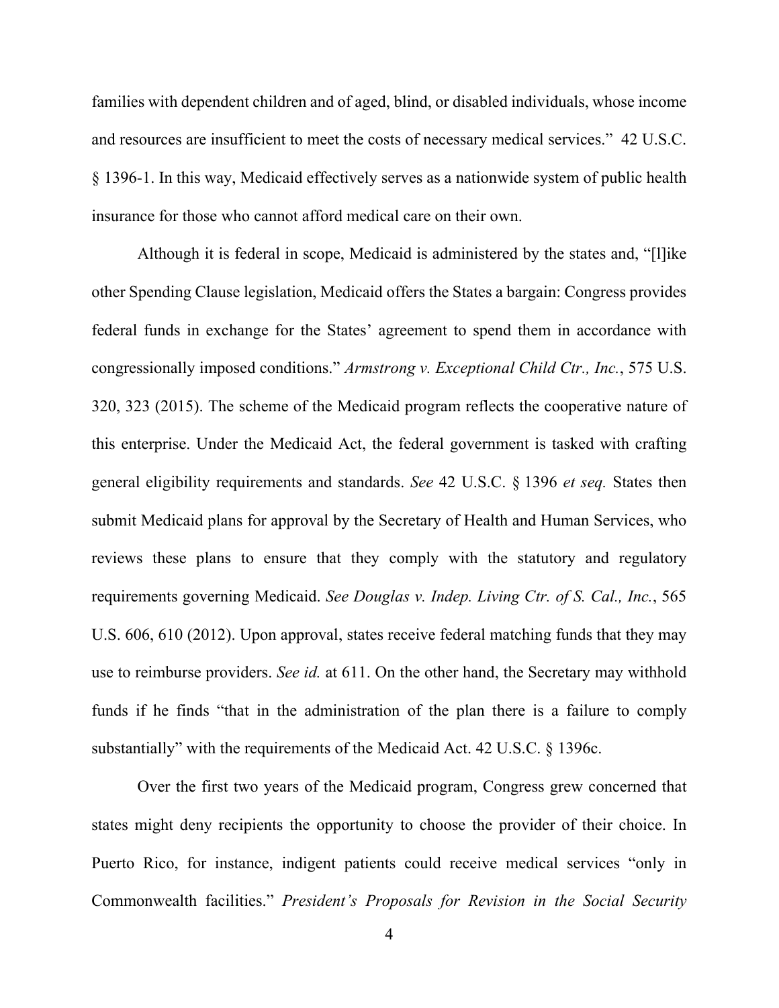families with dependent children and of aged, blind, or disabled individuals, whose income and resources are insufficient to meet the costs of necessary medical services." 42 U.S.C. § 1396-1. In this way, Medicaid effectively serves as a nationwide system of public health insurance for those who cannot afford medical care on their own.

Although it is federal in scope, Medicaid is administered by the states and, "[l]ike other Spending Clause legislation, Medicaid offers the States a bargain: Congress provides federal funds in exchange for the States' agreement to spend them in accordance with congressionally imposed conditions." *Armstrong v. Exceptional Child Ctr., Inc.*, 575 U.S. 320, 323 (2015). The scheme of the Medicaid program reflects the cooperative nature of this enterprise. Under the Medicaid Act, the federal government is tasked with crafting general eligibility requirements and standards. *See* 42 U.S.C. § 1396 *et seq.* States then submit Medicaid plans for approval by the Secretary of Health and Human Services, who reviews these plans to ensure that they comply with the statutory and regulatory requirements governing Medicaid. *See Douglas v. Indep. Living Ctr. of S. Cal., Inc.*, 565 U.S. 606, 610 (2012). Upon approval, states receive federal matching funds that they may use to reimburse providers. *See id.* at 611. On the other hand, the Secretary may withhold funds if he finds "that in the administration of the plan there is a failure to comply substantially" with the requirements of the Medicaid Act. 42 U.S.C. § 1396c.

Over the first two years of the Medicaid program, Congress grew concerned that states might deny recipients the opportunity to choose the provider of their choice. In Puerto Rico, for instance, indigent patients could receive medical services "only in Commonwealth facilities." *President's Proposals for Revision in the Social Security*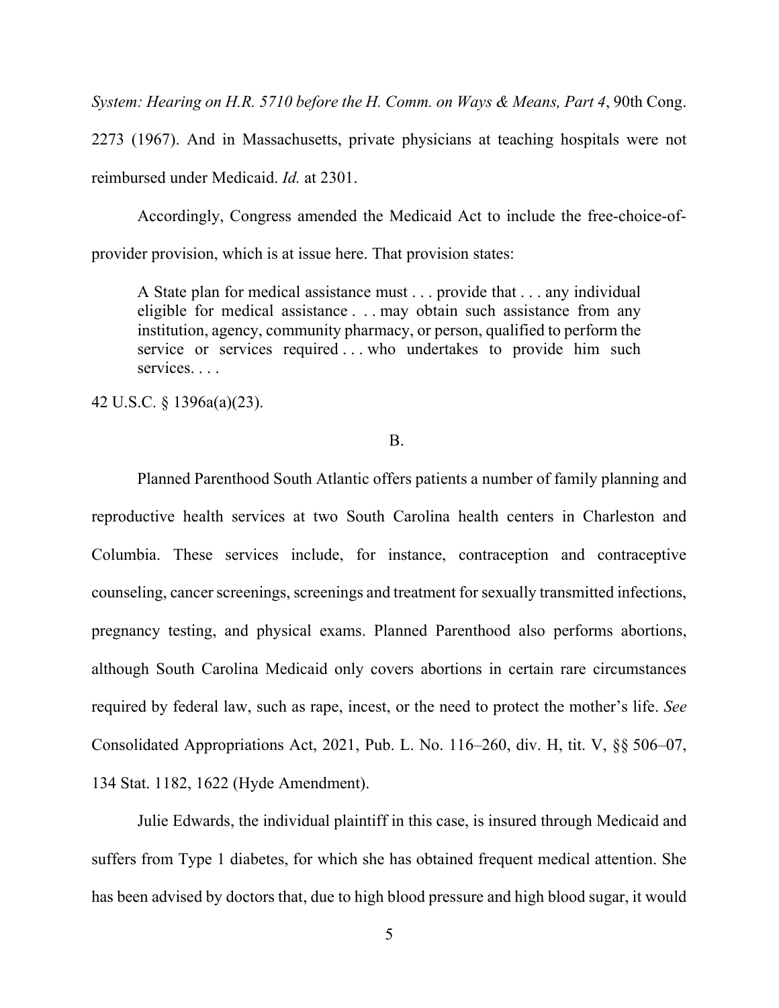*System: Hearing on H.R. 5710 before the H. Comm. on Ways & Means, Part 4*, 90th Cong.

2273 (1967). And in Massachusetts, private physicians at teaching hospitals were not reimbursed under Medicaid. *Id.* at 2301.

Accordingly, Congress amended the Medicaid Act to include the free-choice-ofprovider provision, which is at issue here. That provision states:

A State plan for medical assistance must . . . provide that . . . any individual eligible for medical assistance . . . may obtain such assistance from any institution, agency, community pharmacy, or person, qualified to perform the service or services required ... who undertakes to provide him such services. . . .

42 U.S.C. § 1396a(a)(23).

#### B.

Planned Parenthood South Atlantic offers patients a number of family planning and reproductive health services at two South Carolina health centers in Charleston and Columbia. These services include, for instance, contraception and contraceptive counseling, cancer screenings, screenings and treatment for sexually transmitted infections, pregnancy testing, and physical exams. Planned Parenthood also performs abortions, although South Carolina Medicaid only covers abortions in certain rare circumstances required by federal law, such as rape, incest, or the need to protect the mother's life. *See*  Consolidated Appropriations Act, 2021, Pub. L. No. 116–260, div. H, tit. V, §§ 506–07, 134 Stat. 1182, 1622 (Hyde Amendment).

Julie Edwards, the individual plaintiff in this case, is insured through Medicaid and suffers from Type 1 diabetes, for which she has obtained frequent medical attention. She has been advised by doctors that, due to high blood pressure and high blood sugar, it would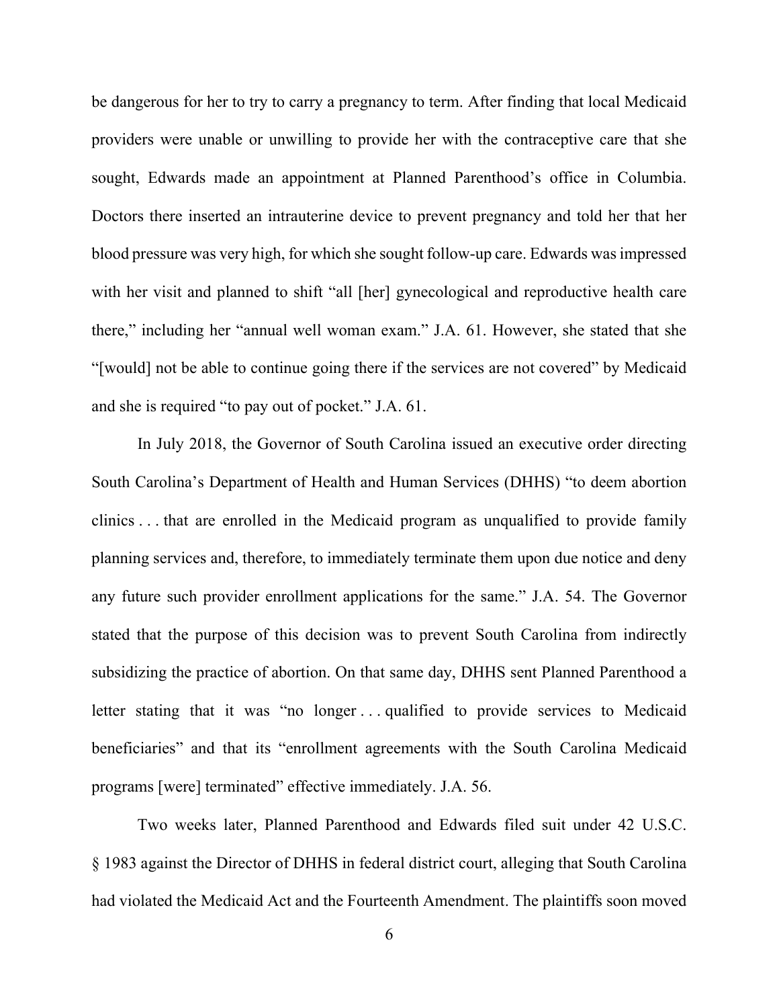be dangerous for her to try to carry a pregnancy to term. After finding that local Medicaid providers were unable or unwilling to provide her with the contraceptive care that she sought, Edwards made an appointment at Planned Parenthood's office in Columbia. Doctors there inserted an intrauterine device to prevent pregnancy and told her that her blood pressure was very high, for which she sought follow-up care. Edwards was impressed with her visit and planned to shift "all [her] gynecological and reproductive health care there," including her "annual well woman exam." J.A. 61. However, she stated that she "[would] not be able to continue going there if the services are not covered" by Medicaid and she is required "to pay out of pocket." J.A. 61.

In July 2018, the Governor of South Carolina issued an executive order directing South Carolina's Department of Health and Human Services (DHHS) "to deem abortion clinics . . . that are enrolled in the Medicaid program as unqualified to provide family planning services and, therefore, to immediately terminate them upon due notice and deny any future such provider enrollment applications for the same." J.A. 54. The Governor stated that the purpose of this decision was to prevent South Carolina from indirectly subsidizing the practice of abortion. On that same day, DHHS sent Planned Parenthood a letter stating that it was "no longer . . . qualified to provide services to Medicaid beneficiaries" and that its "enrollment agreements with the South Carolina Medicaid programs [were] terminated" effective immediately. J.A. 56.

Two weeks later, Planned Parenthood and Edwards filed suit under 42 U.S.C. § 1983 against the Director of DHHS in federal district court, alleging that South Carolina had violated the Medicaid Act and the Fourteenth Amendment. The plaintiffs soon moved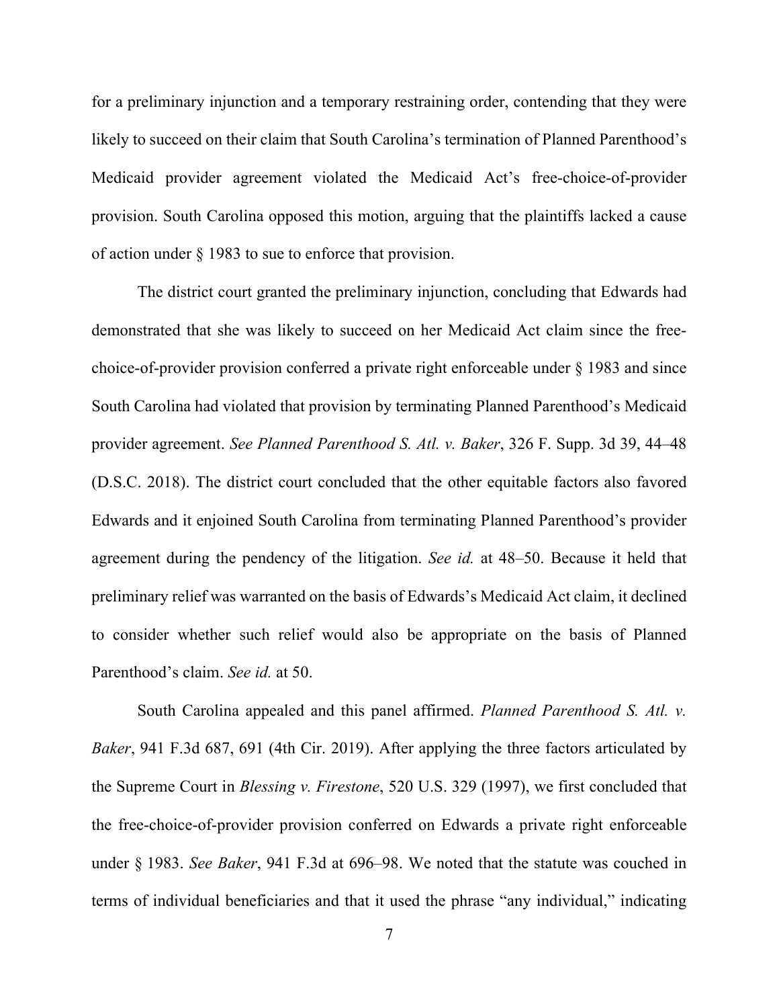for a preliminary injunction and a temporary restraining order, contending that they were likely to succeed on their claim that South Carolina's termination of Planned Parenthood's Medicaid provider agreement violated the Medicaid Act's free-choice-of-provider provision. South Carolina opposed this motion, arguing that the plaintiffs lacked a cause of action under § 1983 to sue to enforce that provision.

The district court granted the preliminary injunction, concluding that Edwards had demonstrated that she was likely to succeed on her Medicaid Act claim since the freechoice-of-provider provision conferred a private right enforceable under § 1983 and since South Carolina had violated that provision by terminating Planned Parenthood's Medicaid provider agreement. *See Planned Parenthood S. Atl. v. Baker*, 326 F. Supp. 3d 39, 44–48 (D.S.C. 2018). The district court concluded that the other equitable factors also favored Edwards and it enjoined South Carolina from terminating Planned Parenthood's provider agreement during the pendency of the litigation. *See id.* at 48–50. Because it held that preliminary relief was warranted on the basis of Edwards's Medicaid Act claim, it declined to consider whether such relief would also be appropriate on the basis of Planned Parenthood's claim. *See id.* at 50.

South Carolina appealed and this panel affirmed. *Planned Parenthood S. Atl. v. Baker*, 941 F.3d 687, 691 (4th Cir. 2019). After applying the three factors articulated by the Supreme Court in *Blessing v. Firestone*, 520 U.S. 329 (1997), we first concluded that the free-choice-of-provider provision conferred on Edwards a private right enforceable under § 1983. *See Baker*, 941 F.3d at 696–98. We noted that the statute was couched in terms of individual beneficiaries and that it used the phrase "any individual," indicating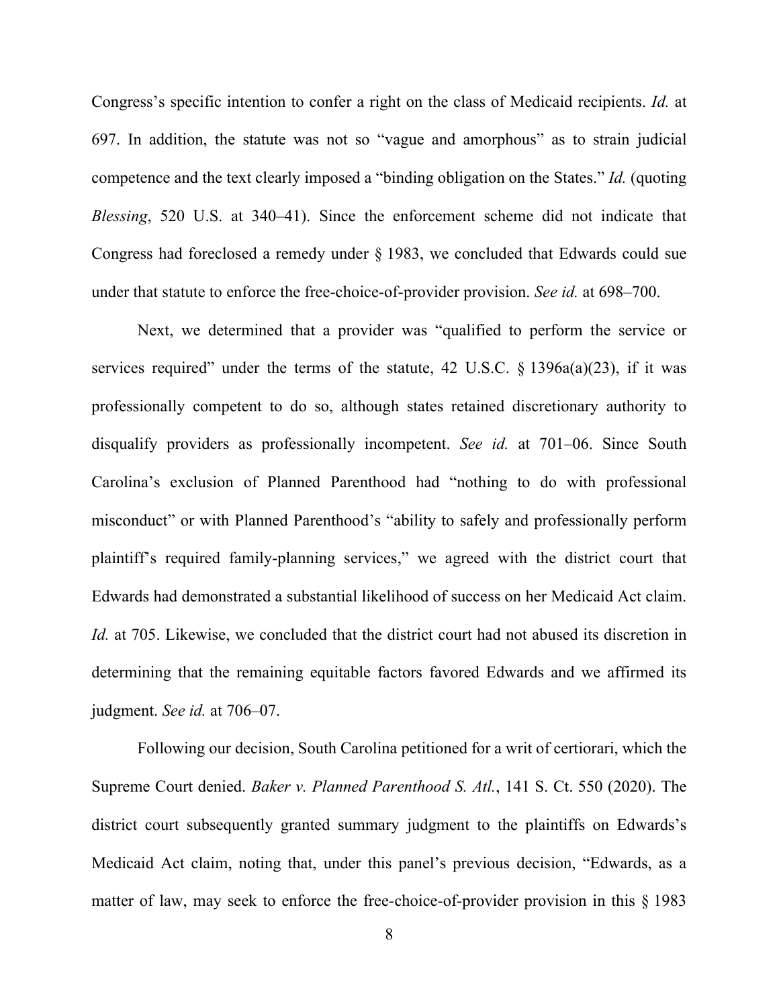Congress's specific intention to confer a right on the class of Medicaid recipients. *Id.* at 697. In addition, the statute was not so "vague and amorphous" as to strain judicial competence and the text clearly imposed a "binding obligation on the States." *Id.* (quoting *Blessing*, 520 U.S. at 340–41). Since the enforcement scheme did not indicate that Congress had foreclosed a remedy under § 1983, we concluded that Edwards could sue under that statute to enforce the free-choice-of-provider provision. *See id.* at 698–700.

Next, we determined that a provider was "qualified to perform the service or services required" under the terms of the statute, 42 U.S.C.  $\S$  1396a(a)(23), if it was professionally competent to do so, although states retained discretionary authority to disqualify providers as professionally incompetent. *See id.* at 701–06. Since South Carolina's exclusion of Planned Parenthood had "nothing to do with professional misconduct" or with Planned Parenthood's "ability to safely and professionally perform plaintiff's required family-planning services," we agreed with the district court that Edwards had demonstrated a substantial likelihood of success on her Medicaid Act claim. *Id.* at 705. Likewise, we concluded that the district court had not abused its discretion in determining that the remaining equitable factors favored Edwards and we affirmed its judgment. *See id.* at 706–07.

Following our decision, South Carolina petitioned for a writ of certiorari, which the Supreme Court denied. *Baker v. Planned Parenthood S. Atl.*, 141 S. Ct. 550 (2020). The district court subsequently granted summary judgment to the plaintiffs on Edwards's Medicaid Act claim, noting that, under this panel's previous decision, "Edwards, as a matter of law, may seek to enforce the free-choice-of-provider provision in this § 1983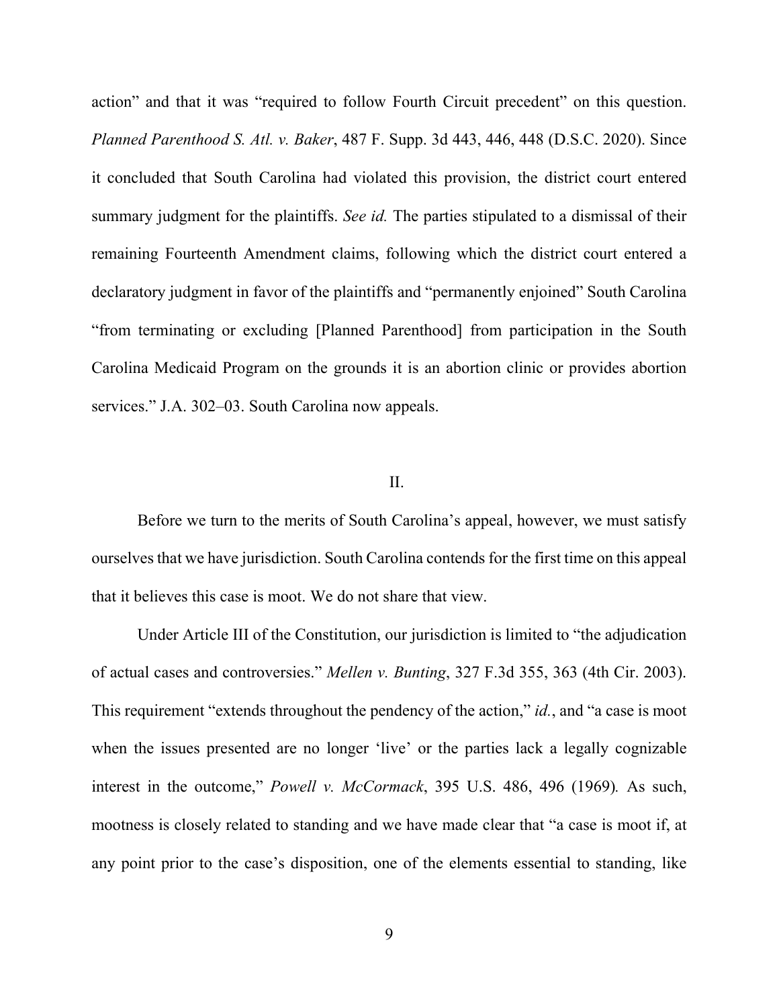action" and that it was "required to follow Fourth Circuit precedent" on this question. *Planned Parenthood S. Atl. v. Baker*, 487 F. Supp. 3d 443, 446, 448 (D.S.C. 2020). Since it concluded that South Carolina had violated this provision, the district court entered summary judgment for the plaintiffs. *See id.* The parties stipulated to a dismissal of their remaining Fourteenth Amendment claims, following which the district court entered a declaratory judgment in favor of the plaintiffs and "permanently enjoined" South Carolina "from terminating or excluding [Planned Parenthood] from participation in the South Carolina Medicaid Program on the grounds it is an abortion clinic or provides abortion services." J.A. 302–03. South Carolina now appeals.

#### II.

Before we turn to the merits of South Carolina's appeal, however, we must satisfy ourselves that we have jurisdiction. South Carolina contends for the first time on this appeal that it believes this case is moot. We do not share that view.

Under Article III of the Constitution, our jurisdiction is limited to "the adjudication of actual cases and controversies." *Mellen v. Bunting*, 327 F.3d 355, 363 (4th Cir. 2003). This requirement "extends throughout the pendency of the action," *id.*, and "a case is moot when the issues presented are no longer 'live' or the parties lack a legally cognizable interest in the outcome," *Powell v. McCormack*, 395 U.S. 486, 496 (1969)*.* As such, mootness is closely related to standing and we have made clear that "a case is moot if, at any point prior to the case's disposition, one of the elements essential to standing, like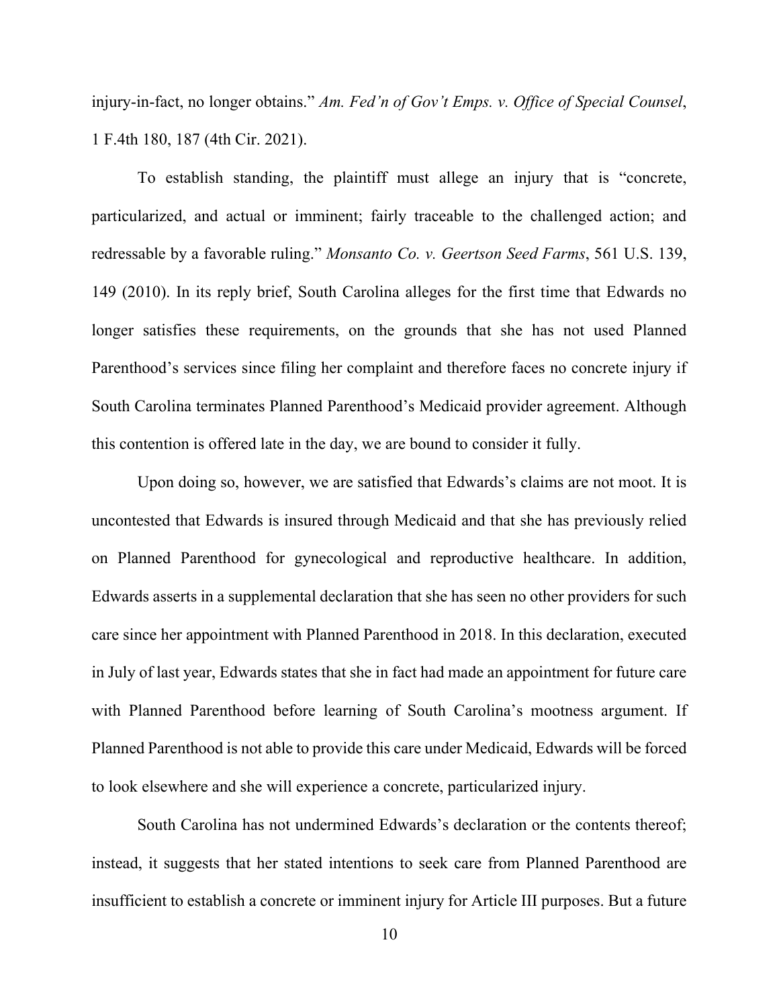injury-in-fact, no longer obtains." *Am. Fed'n of Gov't Emps. v. Office of Special Counsel*, 1 F.4th 180, 187 (4th Cir. 2021).

To establish standing, the plaintiff must allege an injury that is "concrete, particularized, and actual or imminent; fairly traceable to the challenged action; and redressable by a favorable ruling." *Monsanto Co. v. Geertson Seed Farms*, 561 U.S. 139, 149 (2010). In its reply brief, South Carolina alleges for the first time that Edwards no longer satisfies these requirements, on the grounds that she has not used Planned Parenthood's services since filing her complaint and therefore faces no concrete injury if South Carolina terminates Planned Parenthood's Medicaid provider agreement. Although this contention is offered late in the day, we are bound to consider it fully.

Upon doing so, however, we are satisfied that Edwards's claims are not moot. It is uncontested that Edwards is insured through Medicaid and that she has previously relied on Planned Parenthood for gynecological and reproductive healthcare. In addition, Edwards asserts in a supplemental declaration that she has seen no other providers for such care since her appointment with Planned Parenthood in 2018. In this declaration, executed in July of last year, Edwards states that she in fact had made an appointment for future care with Planned Parenthood before learning of South Carolina's mootness argument. If Planned Parenthood is not able to provide this care under Medicaid, Edwards will be forced to look elsewhere and she will experience a concrete, particularized injury.

South Carolina has not undermined Edwards's declaration or the contents thereof; instead, it suggests that her stated intentions to seek care from Planned Parenthood are insufficient to establish a concrete or imminent injury for Article III purposes. But a future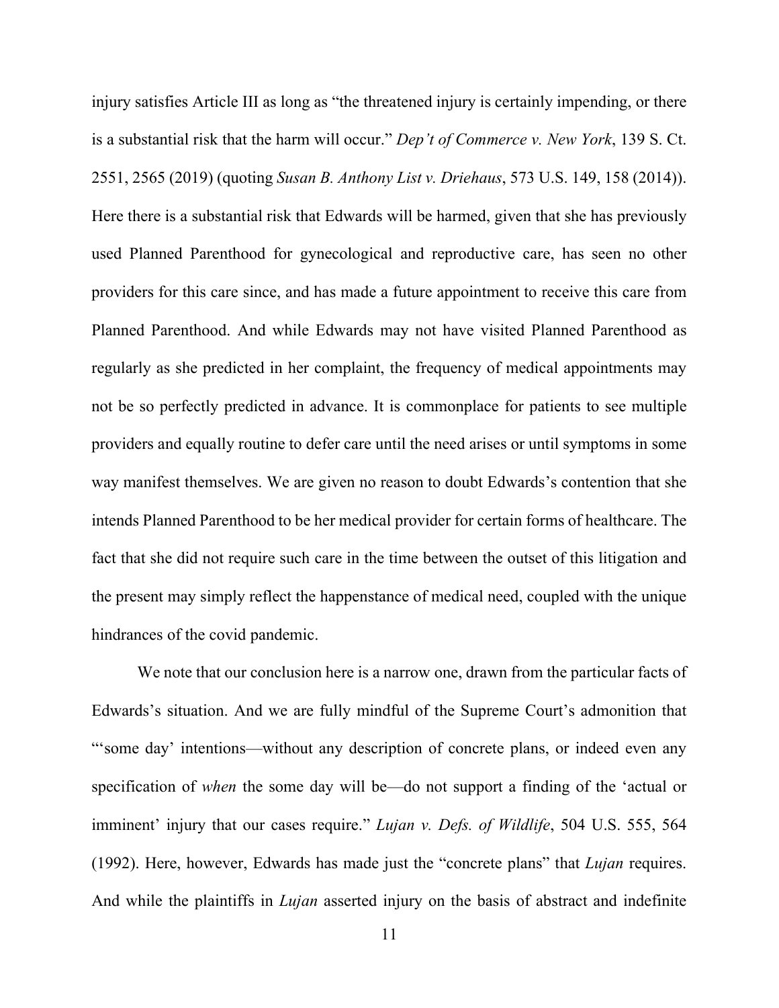injury satisfies Article III as long as "the threatened injury is certainly impending, or there is a substantial risk that the harm will occur." *Dep't of Commerce v. New York*, 139 S. Ct. 2551, 2565 (2019) (quoting *Susan B. Anthony List v. Driehaus*, 573 U.S. 149, 158 (2014)). Here there is a substantial risk that Edwards will be harmed, given that she has previously used Planned Parenthood for gynecological and reproductive care, has seen no other providers for this care since, and has made a future appointment to receive this care from Planned Parenthood. And while Edwards may not have visited Planned Parenthood as regularly as she predicted in her complaint, the frequency of medical appointments may not be so perfectly predicted in advance. It is commonplace for patients to see multiple providers and equally routine to defer care until the need arises or until symptoms in some way manifest themselves. We are given no reason to doubt Edwards's contention that she intends Planned Parenthood to be her medical provider for certain forms of healthcare. The fact that she did not require such care in the time between the outset of this litigation and the present may simply reflect the happenstance of medical need, coupled with the unique hindrances of the covid pandemic.

We note that our conclusion here is a narrow one, drawn from the particular facts of Edwards's situation. And we are fully mindful of the Supreme Court's admonition that "'some day' intentions—without any description of concrete plans, or indeed even any specification of *when* the some day will be—do not support a finding of the 'actual or imminent' injury that our cases require." *Lujan v. Defs. of Wildlife*, 504 U.S. 555, 564 (1992). Here, however, Edwards has made just the "concrete plans" that *Lujan* requires. And while the plaintiffs in *Lujan* asserted injury on the basis of abstract and indefinite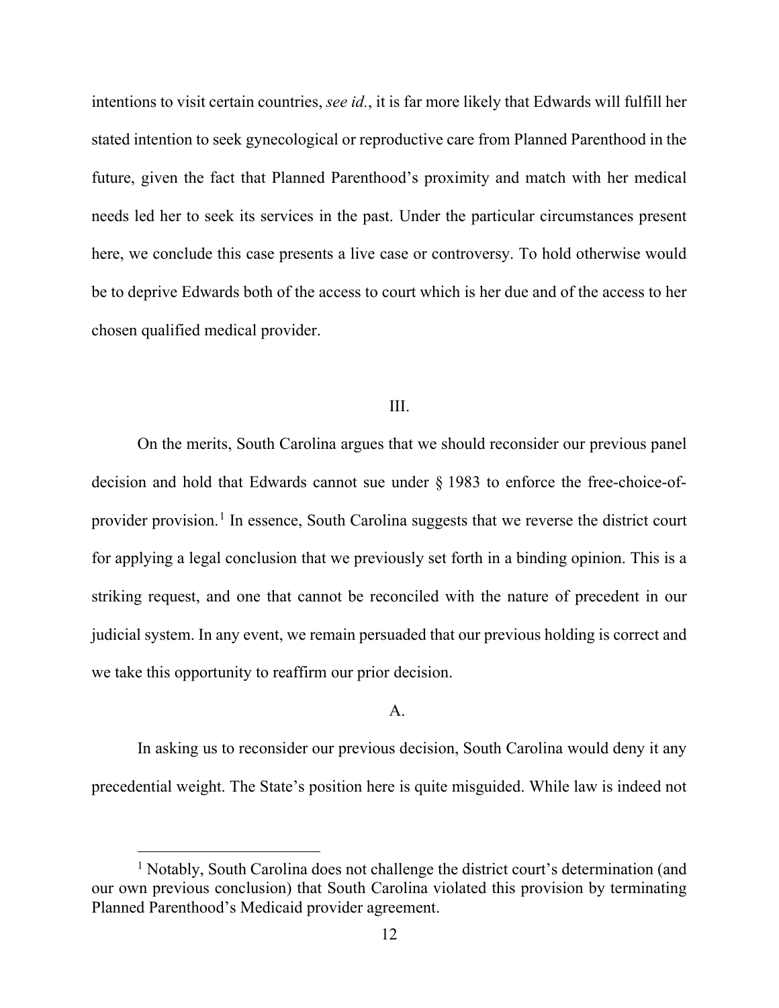intentions to visit certain countries, *see id.*, it is far more likely that Edwards will fulfill her stated intention to seek gynecological or reproductive care from Planned Parenthood in the future, given the fact that Planned Parenthood's proximity and match with her medical needs led her to seek its services in the past. Under the particular circumstances present here, we conclude this case presents a live case or controversy. To hold otherwise would be to deprive Edwards both of the access to court which is her due and of the access to her chosen qualified medical provider.

#### III.

On the merits, South Carolina argues that we should reconsider our previous panel decision and hold that Edwards cannot sue under § 1983 to enforce the free-choice-of-provider provision.<sup>[1](#page-11-0)</sup> In essence, South Carolina suggests that we reverse the district court for applying a legal conclusion that we previously set forth in a binding opinion. This is a striking request, and one that cannot be reconciled with the nature of precedent in our judicial system. In any event, we remain persuaded that our previous holding is correct and we take this opportunity to reaffirm our prior decision.

#### A.

In asking us to reconsider our previous decision, South Carolina would deny it any precedential weight. The State's position here is quite misguided. While law is indeed not

<span id="page-11-0"></span><sup>&</sup>lt;sup>1</sup> Notably, South Carolina does not challenge the district court's determination (and our own previous conclusion) that South Carolina violated this provision by terminating Planned Parenthood's Medicaid provider agreement.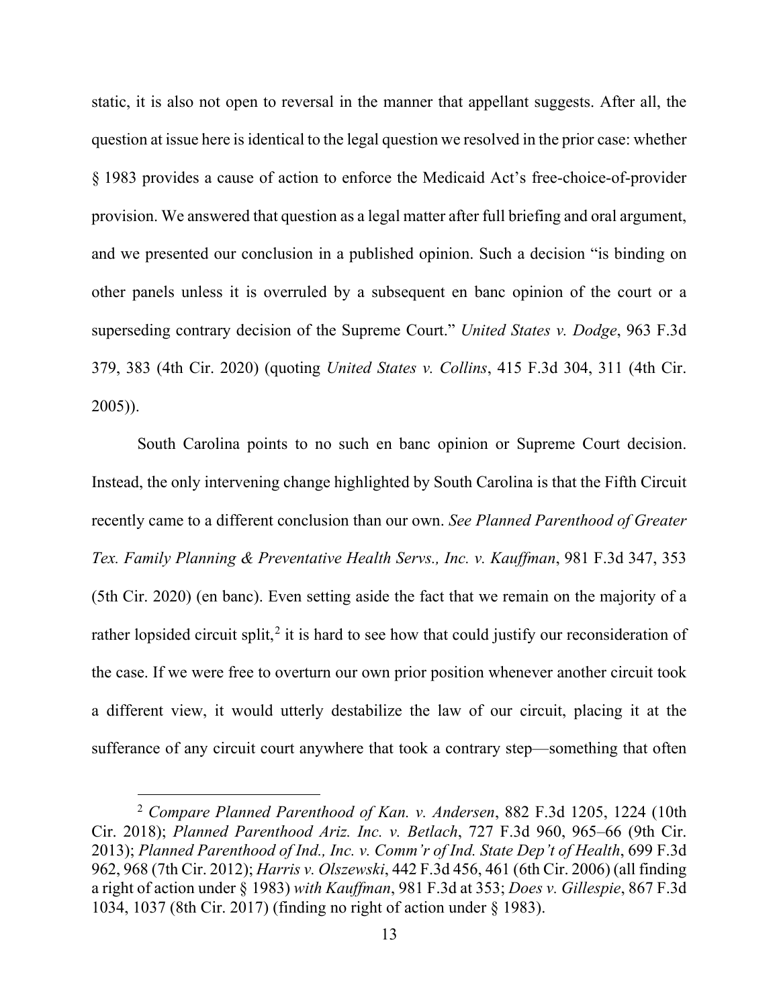static, it is also not open to reversal in the manner that appellant suggests. After all, the question at issue here is identical to the legal question we resolved in the prior case: whether § 1983 provides a cause of action to enforce the Medicaid Act's free-choice-of-provider provision. We answered that question as a legal matter after full briefing and oral argument, and we presented our conclusion in a published opinion. Such a decision "is binding on other panels unless it is overruled by a subsequent en banc opinion of the court or a superseding contrary decision of the Supreme Court." *United States v. Dodge*, 963 F.3d 379, 383 (4th Cir. 2020) (quoting *United States v. Collins*, 415 F.3d 304, 311 (4th Cir. 2005)).

South Carolina points to no such en banc opinion or Supreme Court decision. Instead, the only intervening change highlighted by South Carolina is that the Fifth Circuit recently came to a different conclusion than our own. *See Planned Parenthood of Greater Tex. Family Planning & Preventative Health Servs., Inc. v. Kauffman*, 981 F.3d 347, 353 (5th Cir. 2020) (en banc). Even setting aside the fact that we remain on the majority of a rather lopsided circuit split,<sup>[2](#page-12-0)</sup> it is hard to see how that could justify our reconsideration of the case. If we were free to overturn our own prior position whenever another circuit took a different view, it would utterly destabilize the law of our circuit, placing it at the sufferance of any circuit court anywhere that took a contrary step—something that often

<span id="page-12-0"></span><sup>2</sup> *Compare Planned Parenthood of Kan. v. Andersen*, 882 F.3d 1205, 1224 (10th Cir. 2018); *Planned Parenthood Ariz. Inc. v. Betlach*, 727 F.3d 960, 965–66 (9th Cir. 2013); *Planned Parenthood of Ind., Inc. v. Comm'r of Ind. State Dep't of Health*, 699 F.3d 962, 968 (7th Cir. 2012); *Harris v. Olszewski*, 442 F.3d 456, 461 (6th Cir. 2006) (all finding a right of action under § 1983) *with Kauffman*, 981 F.3d at 353; *Does v. Gillespie*, 867 F.3d 1034, 1037 (8th Cir. 2017) (finding no right of action under § 1983).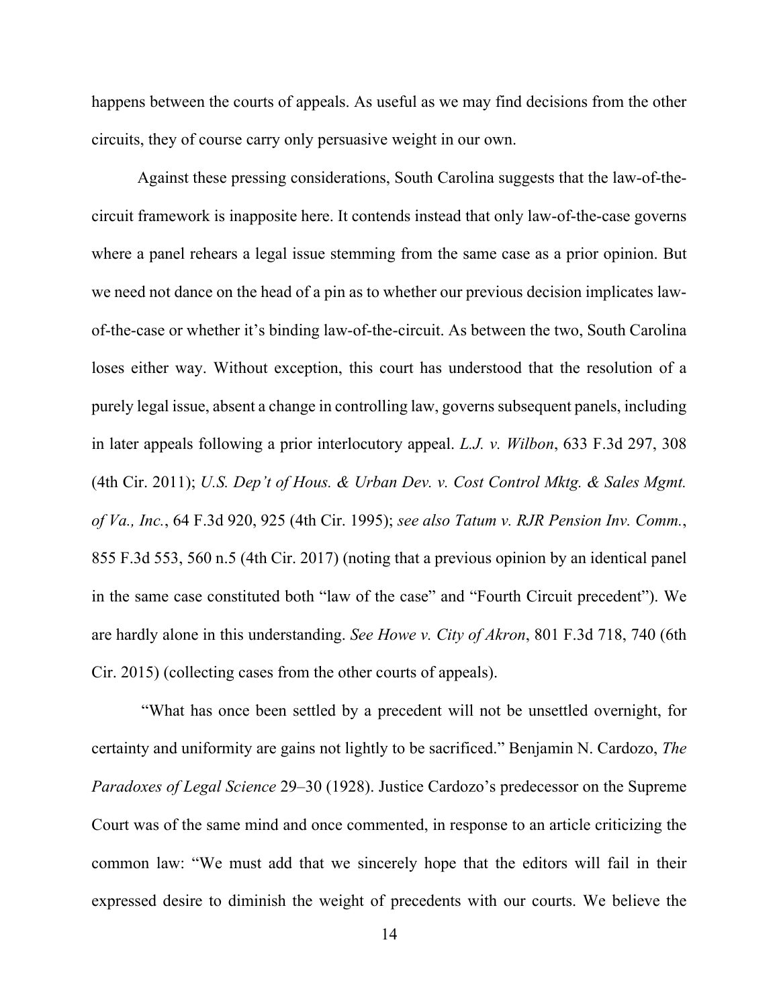happens between the courts of appeals. As useful as we may find decisions from the other circuits, they of course carry only persuasive weight in our own.

Against these pressing considerations, South Carolina suggests that the law-of-thecircuit framework is inapposite here. It contends instead that only law-of-the-case governs where a panel rehears a legal issue stemming from the same case as a prior opinion. But we need not dance on the head of a pin as to whether our previous decision implicates lawof-the-case or whether it's binding law-of-the-circuit. As between the two, South Carolina loses either way. Without exception, this court has understood that the resolution of a purely legal issue, absent a change in controlling law, governs subsequent panels, including in later appeals following a prior interlocutory appeal. *L.J. v. Wilbon*, 633 F.3d 297, 308 (4th Cir. 2011); *U.S. Dep't of Hous. & Urban Dev. v. Cost Control Mktg. & Sales Mgmt. of Va., Inc.*, 64 F.3d 920, 925 (4th Cir. 1995); *see also Tatum v. RJR Pension Inv. Comm.*, 855 F.3d 553, 560 n.5 (4th Cir. 2017) (noting that a previous opinion by an identical panel in the same case constituted both "law of the case" and "Fourth Circuit precedent"). We are hardly alone in this understanding. *See Howe v. City of Akron*, 801 F.3d 718, 740 (6th Cir. 2015) (collecting cases from the other courts of appeals).

"What has once been settled by a precedent will not be unsettled overnight, for certainty and uniformity are gains not lightly to be sacrificed." Benjamin N. Cardozo, *The Paradoxes of Legal Science* 29–30 (1928). Justice Cardozo's predecessor on the Supreme Court was of the same mind and once commented, in response to an article criticizing the common law: "We must add that we sincerely hope that the editors will fail in their expressed desire to diminish the weight of precedents with our courts. We believe the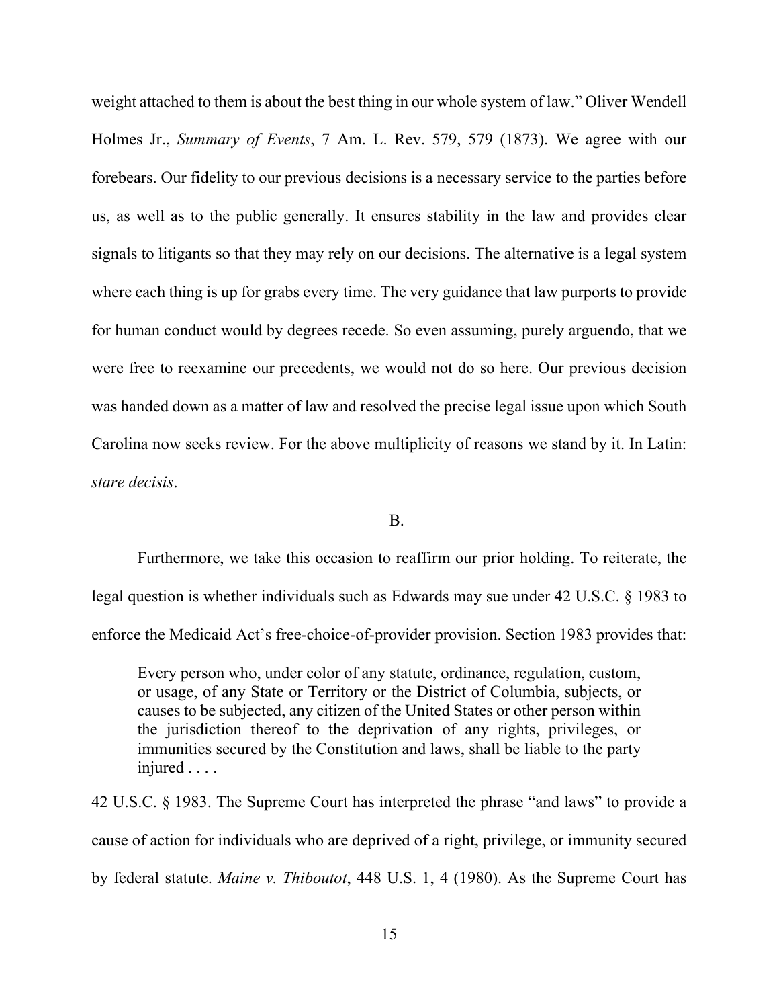weight attached to them is about the best thing in our whole system of law." Oliver Wendell Holmes Jr., *Summary of Events*, 7 Am. L. Rev. 579, 579 (1873). We agree with our forebears. Our fidelity to our previous decisions is a necessary service to the parties before us, as well as to the public generally. It ensures stability in the law and provides clear signals to litigants so that they may rely on our decisions. The alternative is a legal system where each thing is up for grabs every time. The very guidance that law purports to provide for human conduct would by degrees recede. So even assuming, purely arguendo, that we were free to reexamine our precedents, we would not do so here. Our previous decision was handed down as a matter of law and resolved the precise legal issue upon which South Carolina now seeks review. For the above multiplicity of reasons we stand by it. In Latin: *stare decisis*.

B.

Furthermore, we take this occasion to reaffirm our prior holding. To reiterate, the legal question is whether individuals such as Edwards may sue under 42 U.S.C. § 1983 to enforce the Medicaid Act's free-choice-of-provider provision. Section 1983 provides that:

Every person who, under color of any statute, ordinance, regulation, custom, or usage, of any State or Territory or the District of Columbia, subjects, or causes to be subjected, any citizen of the United States or other person within the jurisdiction thereof to the deprivation of any rights, privileges, or immunities secured by the Constitution and laws, shall be liable to the party injured . . . .

42 U.S.C. § 1983. The Supreme Court has interpreted the phrase "and laws" to provide a cause of action for individuals who are deprived of a right, privilege, or immunity secured by federal statute. *Maine v. Thiboutot*, 448 U.S. 1, 4 (1980). As the Supreme Court has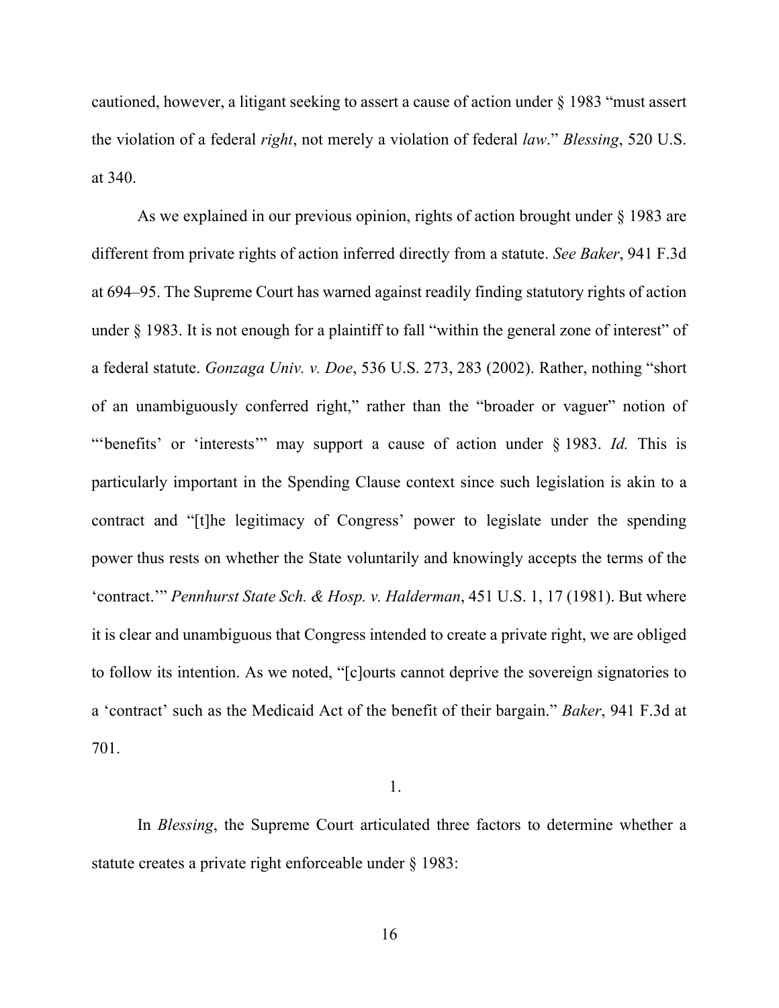cautioned, however, a litigant seeking to assert a cause of action under § 1983 "must assert the violation of a federal *right*, not merely a violation of federal *law*." *Blessing*, 520 U.S. at 340.

As we explained in our previous opinion, rights of action brought under § 1983 are different from private rights of action inferred directly from a statute. *See Baker*, 941 F.3d at 694–95. The Supreme Court has warned against readily finding statutory rights of action under § 1983. It is not enough for a plaintiff to fall "within the general zone of interest" of a federal statute. *Gonzaga Univ. v. Doe*, 536 U.S. 273, 283 (2002). Rather, nothing "short of an unambiguously conferred right," rather than the "broader or vaguer" notion of "'benefits' or 'interests'" may support a cause of action under § 1983. *Id.* This is particularly important in the Spending Clause context since such legislation is akin to a contract and "[t]he legitimacy of Congress' power to legislate under the spending power thus rests on whether the State voluntarily and knowingly accepts the terms of the 'contract.'" *Pennhurst State Sch. & Hosp. v. Halderman*, 451 U.S. 1, 17 (1981). But where it is clear and unambiguous that Congress intended to create a private right, we are obliged to follow its intention. As we noted, "[c]ourts cannot deprive the sovereign signatories to a 'contract' such as the Medicaid Act of the benefit of their bargain." *Baker*, 941 F.3d at 701.

1.

In *Blessing*, the Supreme Court articulated three factors to determine whether a statute creates a private right enforceable under § 1983: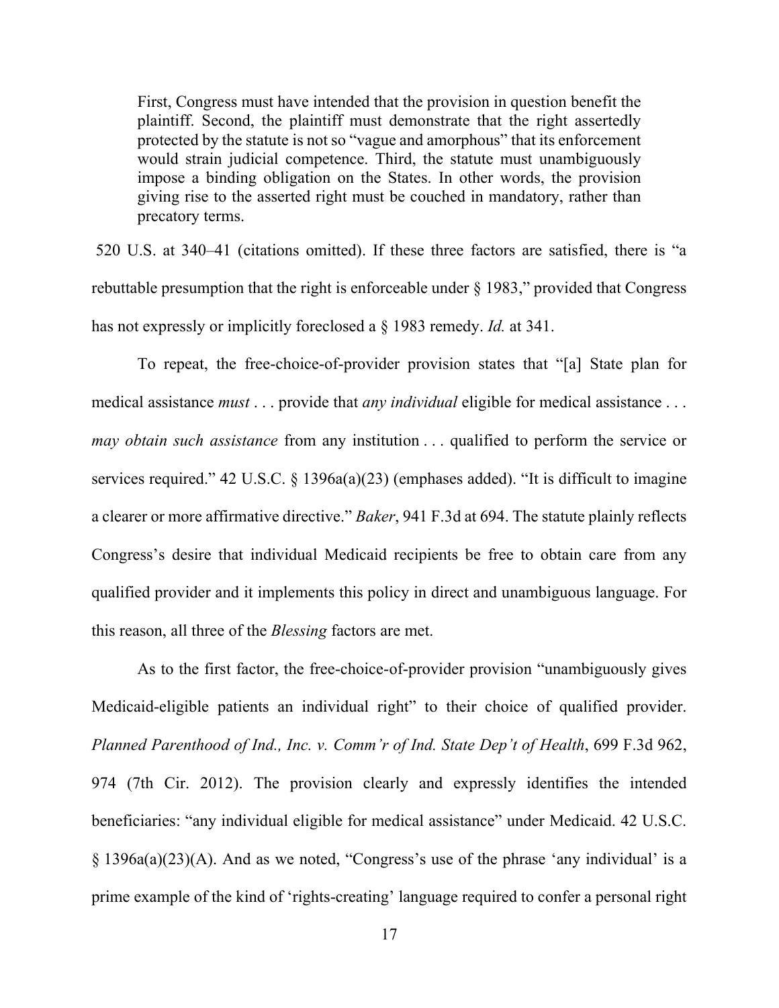First, Congress must have intended that the provision in question benefit the plaintiff. Second, the plaintiff must demonstrate that the right assertedly protected by the statute is not so "vague and amorphous" that its enforcement would strain judicial competence. Third, the statute must unambiguously impose a binding obligation on the States. In other words, the provision giving rise to the asserted right must be couched in mandatory, rather than precatory terms.

520 U.S. at 340–41 (citations omitted). If these three factors are satisfied, there is "a rebuttable presumption that the right is enforceable under § 1983," provided that Congress has not expressly or implicitly foreclosed a § 1983 remedy. *Id.* at 341.

To repeat, the free-choice-of-provider provision states that "[a] State plan for medical assistance *must* . . . provide that *any individual* eligible for medical assistance . . . *may obtain such assistance* from any institution . . . qualified to perform the service or services required." 42 U.S.C. § 1396a(a)(23) (emphases added). "It is difficult to imagine a clearer or more affirmative directive." *Baker*, 941 F.3d at 694. The statute plainly reflects Congress's desire that individual Medicaid recipients be free to obtain care from any qualified provider and it implements this policy in direct and unambiguous language. For this reason, all three of the *Blessing* factors are met.

As to the first factor, the free-choice-of-provider provision "unambiguously gives Medicaid-eligible patients an individual right" to their choice of qualified provider. *Planned Parenthood of Ind., Inc. v. Comm'r of Ind. State Dep't of Health*, 699 F.3d 962, 974 (7th Cir. 2012). The provision clearly and expressly identifies the intended beneficiaries: "any individual eligible for medical assistance" under Medicaid. 42 U.S.C. § 1396a(a)(23)(A). And as we noted, "Congress's use of the phrase 'any individual' is a prime example of the kind of 'rights-creating' language required to confer a personal right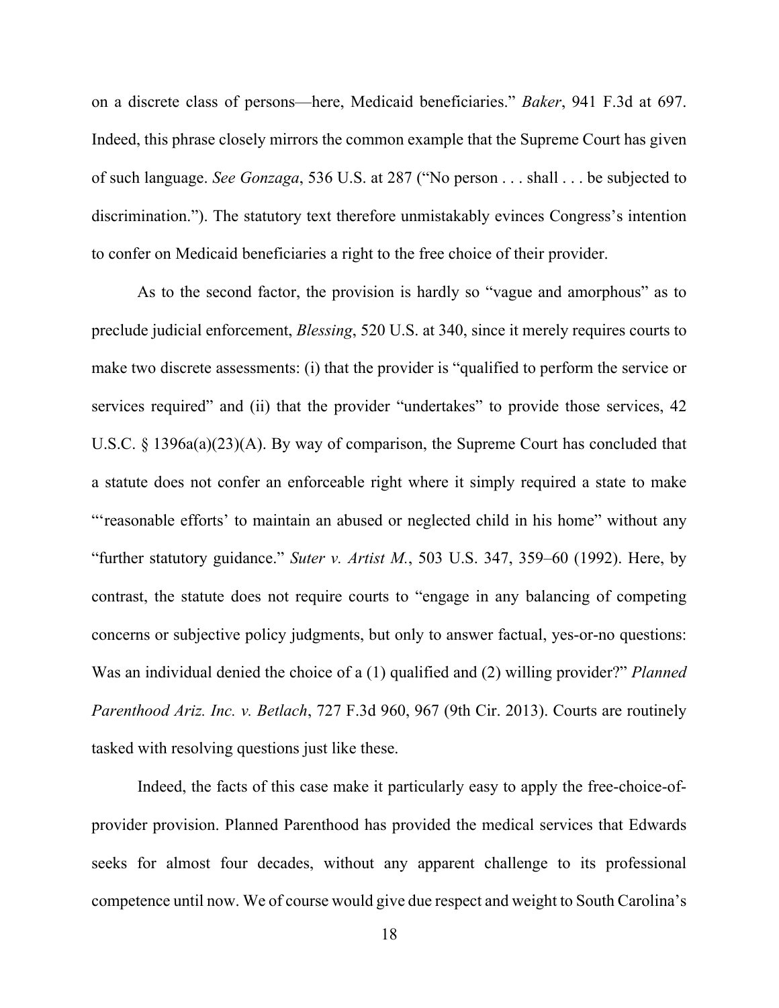on a discrete class of persons—here, Medicaid beneficiaries." *Baker*, 941 F.3d at 697. Indeed, this phrase closely mirrors the common example that the Supreme Court has given of such language. *See Gonzaga*, 536 U.S. at 287 ("No person . . . shall . . . be subjected to discrimination."). The statutory text therefore unmistakably evinces Congress's intention to confer on Medicaid beneficiaries a right to the free choice of their provider.

As to the second factor, the provision is hardly so "vague and amorphous" as to preclude judicial enforcement, *Blessing*, 520 U.S. at 340, since it merely requires courts to make two discrete assessments: (i) that the provider is "qualified to perform the service or services required" and (ii) that the provider "undertakes" to provide those services, 42 U.S.C. § 1396a(a)(23)(A). By way of comparison, the Supreme Court has concluded that a statute does not confer an enforceable right where it simply required a state to make "'reasonable efforts' to maintain an abused or neglected child in his home" without any "further statutory guidance." *Suter v. Artist M.*, 503 U.S. 347, 359–60 (1992). Here, by contrast, the statute does not require courts to "engage in any balancing of competing concerns or subjective policy judgments, but only to answer factual, yes-or-no questions: Was an individual denied the choice of a (1) qualified and (2) willing provider?" *Planned Parenthood Ariz. Inc. v. Betlach*, 727 F.3d 960, 967 (9th Cir. 2013). Courts are routinely tasked with resolving questions just like these.

Indeed, the facts of this case make it particularly easy to apply the free-choice-ofprovider provision. Planned Parenthood has provided the medical services that Edwards seeks for almost four decades, without any apparent challenge to its professional competence until now. We of course would give due respect and weight to South Carolina's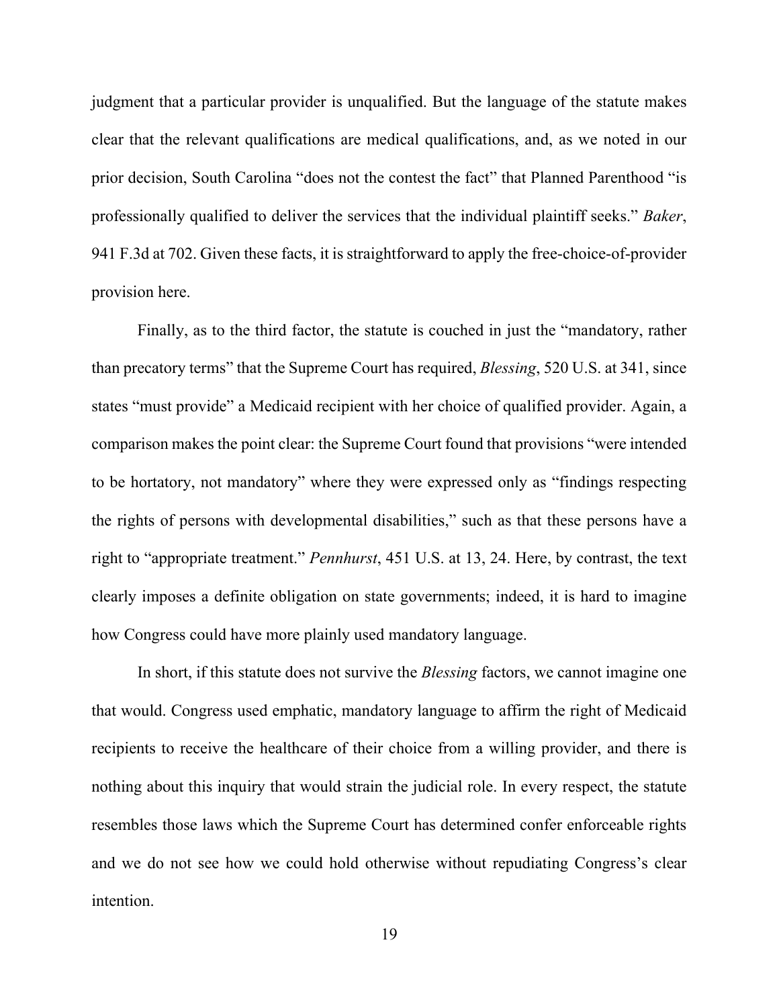judgment that a particular provider is unqualified. But the language of the statute makes clear that the relevant qualifications are medical qualifications, and, as we noted in our prior decision, South Carolina "does not the contest the fact" that Planned Parenthood "is professionally qualified to deliver the services that the individual plaintiff seeks." *Baker*, 941 F.3d at 702. Given these facts, it is straightforward to apply the free-choice-of-provider provision here.

Finally, as to the third factor, the statute is couched in just the "mandatory, rather than precatory terms" that the Supreme Court has required, *Blessing*, 520 U.S. at 341, since states "must provide" a Medicaid recipient with her choice of qualified provider. Again, a comparison makes the point clear: the Supreme Court found that provisions "were intended to be hortatory, not mandatory" where they were expressed only as "findings respecting the rights of persons with developmental disabilities," such as that these persons have a right to "appropriate treatment." *Pennhurst*, 451 U.S. at 13, 24. Here, by contrast, the text clearly imposes a definite obligation on state governments; indeed, it is hard to imagine how Congress could have more plainly used mandatory language.

In short, if this statute does not survive the *Blessing* factors, we cannot imagine one that would. Congress used emphatic, mandatory language to affirm the right of Medicaid recipients to receive the healthcare of their choice from a willing provider, and there is nothing about this inquiry that would strain the judicial role. In every respect, the statute resembles those laws which the Supreme Court has determined confer enforceable rights and we do not see how we could hold otherwise without repudiating Congress's clear intention.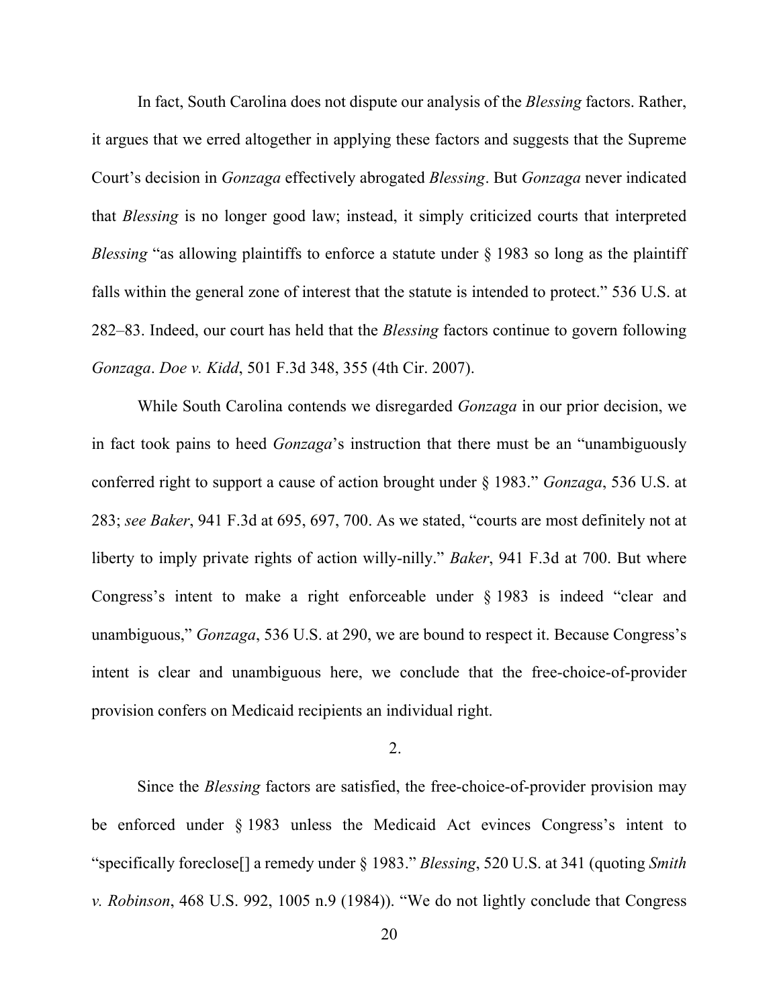In fact, South Carolina does not dispute our analysis of the *Blessing* factors. Rather, it argues that we erred altogether in applying these factors and suggests that the Supreme Court's decision in *Gonzaga* effectively abrogated *Blessing*. But *Gonzaga* never indicated that *Blessing* is no longer good law; instead, it simply criticized courts that interpreted *Blessing* "as allowing plaintiffs to enforce a statute under § 1983 so long as the plaintiff falls within the general zone of interest that the statute is intended to protect." 536 U.S. at 282–83. Indeed, our court has held that the *Blessing* factors continue to govern following *Gonzaga*. *Doe v. Kidd*, 501 F.3d 348, 355 (4th Cir. 2007).

While South Carolina contends we disregarded *Gonzaga* in our prior decision, we in fact took pains to heed *Gonzaga*'s instruction that there must be an "unambiguously conferred right to support a cause of action brought under § 1983." *Gonzaga*, 536 U.S. at 283; *see Baker*, 941 F.3d at 695, 697, 700. As we stated, "courts are most definitely not at liberty to imply private rights of action willy-nilly." *Baker*, 941 F.3d at 700. But where Congress's intent to make a right enforceable under § 1983 is indeed "clear and unambiguous," *Gonzaga*, 536 U.S. at 290, we are bound to respect it. Because Congress's intent is clear and unambiguous here, we conclude that the free-choice-of-provider provision confers on Medicaid recipients an individual right.

2.

Since the *Blessing* factors are satisfied, the free-choice-of-provider provision may be enforced under § 1983 unless the Medicaid Act evinces Congress's intent to "specifically foreclose[] a remedy under § 1983." *Blessing*, 520 U.S. at 341 (quoting *Smith v. Robinson*, 468 U.S. 992, 1005 n.9 (1984)). "We do not lightly conclude that Congress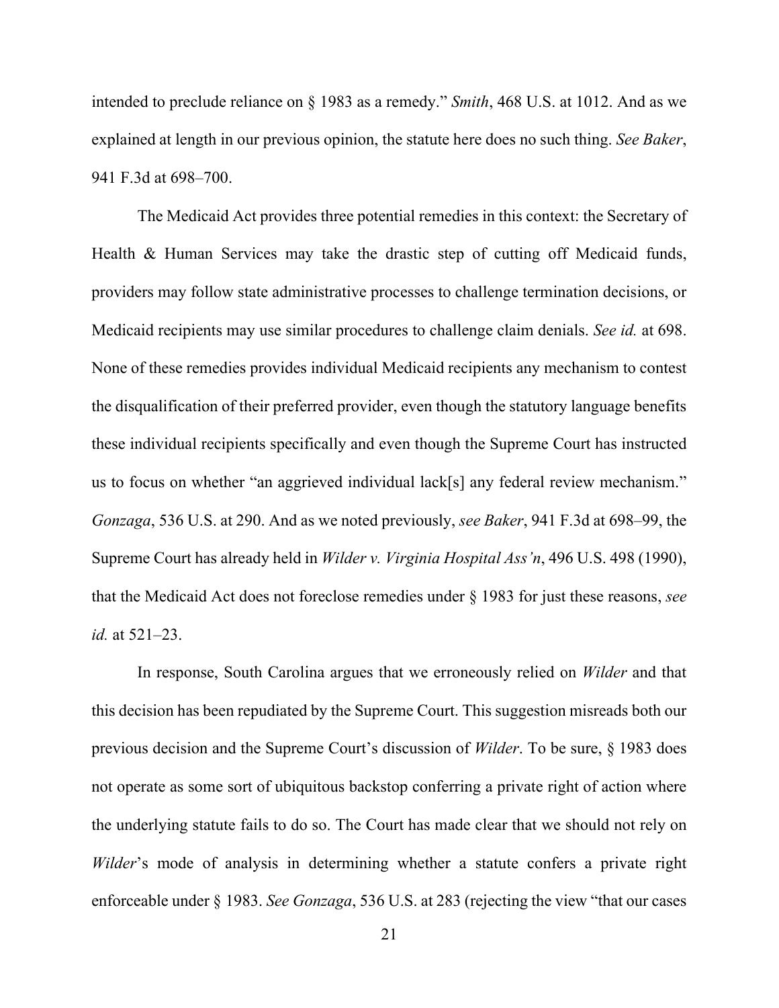intended to preclude reliance on § 1983 as a remedy." *Smith*, 468 U.S. at 1012. And as we explained at length in our previous opinion, the statute here does no such thing. *See Baker*, 941 F.3d at 698–700.

The Medicaid Act provides three potential remedies in this context: the Secretary of Health & Human Services may take the drastic step of cutting off Medicaid funds, providers may follow state administrative processes to challenge termination decisions, or Medicaid recipients may use similar procedures to challenge claim denials. *See id.* at 698. None of these remedies provides individual Medicaid recipients any mechanism to contest the disqualification of their preferred provider, even though the statutory language benefits these individual recipients specifically and even though the Supreme Court has instructed us to focus on whether "an aggrieved individual lack[s] any federal review mechanism." *Gonzaga*, 536 U.S. at 290. And as we noted previously, *see Baker*, 941 F.3d at 698–99, the Supreme Court has already held in *Wilder v. Virginia Hospital Ass'n*, 496 U.S. 498 (1990), that the Medicaid Act does not foreclose remedies under § 1983 for just these reasons, *see id.* at 521–23.

In response, South Carolina argues that we erroneously relied on *Wilder* and that this decision has been repudiated by the Supreme Court. This suggestion misreads both our previous decision and the Supreme Court's discussion of *Wilder*. To be sure, § 1983 does not operate as some sort of ubiquitous backstop conferring a private right of action where the underlying statute fails to do so. The Court has made clear that we should not rely on *Wilder*'s mode of analysis in determining whether a statute confers a private right enforceable under § 1983. *See Gonzaga*, 536 U.S. at 283 (rejecting the view "that our cases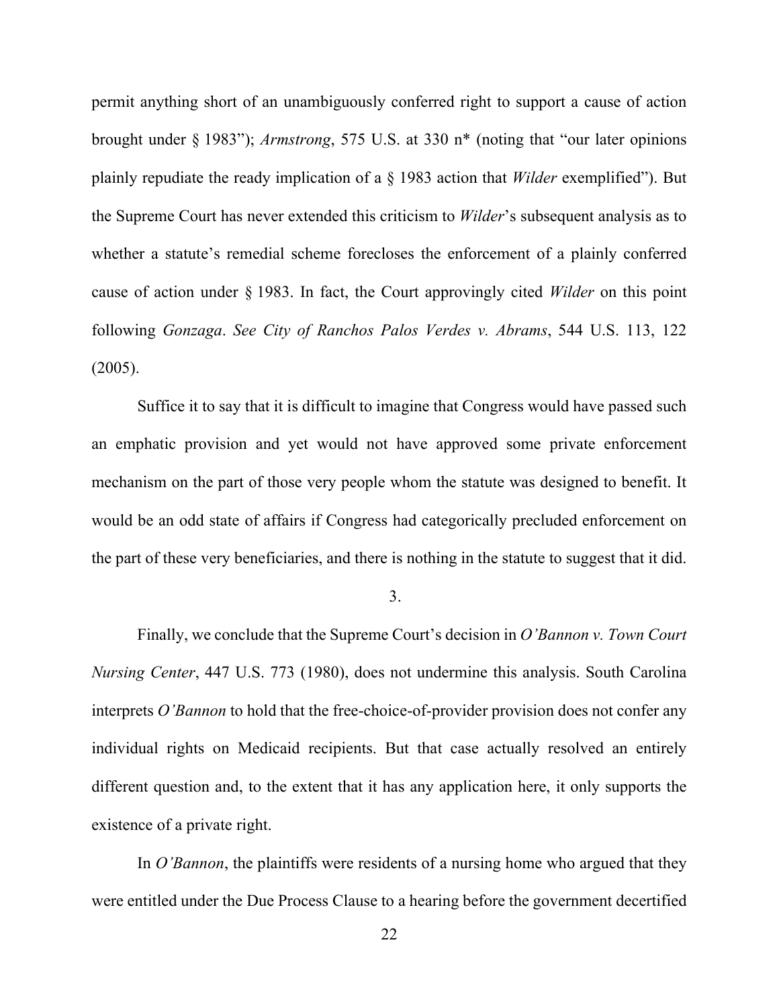permit anything short of an unambiguously conferred right to support a cause of action brought under § 1983"); *Armstrong*, 575 U.S. at 330 n\* (noting that "our later opinions plainly repudiate the ready implication of a § 1983 action that *Wilder* exemplified"). But the Supreme Court has never extended this criticism to *Wilder*'s subsequent analysis as to whether a statute's remedial scheme forecloses the enforcement of a plainly conferred cause of action under § 1983. In fact, the Court approvingly cited *Wilder* on this point following *Gonzaga*. *See City of Ranchos Palos Verdes v. Abrams*, 544 U.S. 113, 122 (2005).

Suffice it to say that it is difficult to imagine that Congress would have passed such an emphatic provision and yet would not have approved some private enforcement mechanism on the part of those very people whom the statute was designed to benefit. It would be an odd state of affairs if Congress had categorically precluded enforcement on the part of these very beneficiaries, and there is nothing in the statute to suggest that it did.

3.

Finally, we conclude that the Supreme Court's decision in *O'Bannon v. Town Court Nursing Center*, 447 U.S. 773 (1980), does not undermine this analysis. South Carolina interprets *O'Bannon* to hold that the free-choice-of-provider provision does not confer any individual rights on Medicaid recipients. But that case actually resolved an entirely different question and, to the extent that it has any application here, it only supports the existence of a private right.

In *O'Bannon*, the plaintiffs were residents of a nursing home who argued that they were entitled under the Due Process Clause to a hearing before the government decertified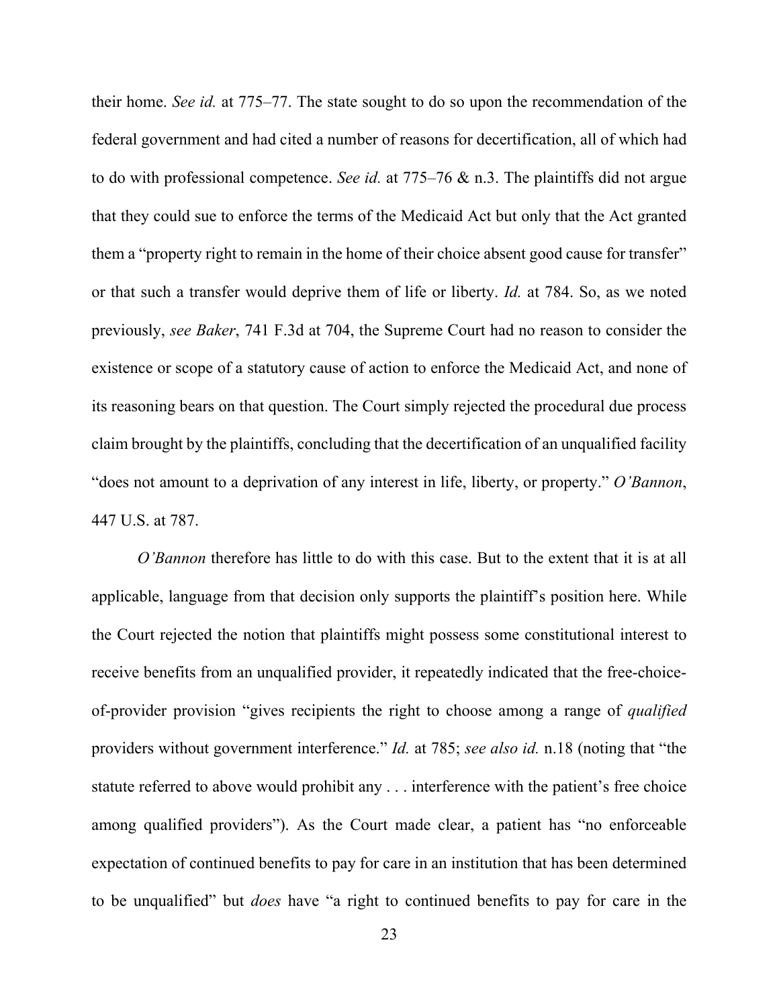their home. *See id.* at 775–77. The state sought to do so upon the recommendation of the federal government and had cited a number of reasons for decertification, all of which had to do with professional competence. *See id.* at 775–76 & n.3. The plaintiffs did not argue that they could sue to enforce the terms of the Medicaid Act but only that the Act granted them a "property right to remain in the home of their choice absent good cause for transfer" or that such a transfer would deprive them of life or liberty. *Id.* at 784. So, as we noted previously, *see Baker*, 741 F.3d at 704, the Supreme Court had no reason to consider the existence or scope of a statutory cause of action to enforce the Medicaid Act, and none of its reasoning bears on that question. The Court simply rejected the procedural due process claim brought by the plaintiffs, concluding that the decertification of an unqualified facility "does not amount to a deprivation of any interest in life, liberty, or property." *O'Bannon*, 447 U.S. at 787.

*O'Bannon* therefore has little to do with this case. But to the extent that it is at all applicable, language from that decision only supports the plaintiff's position here. While the Court rejected the notion that plaintiffs might possess some constitutional interest to receive benefits from an unqualified provider, it repeatedly indicated that the free-choiceof-provider provision "gives recipients the right to choose among a range of *qualified*  providers without government interference." *Id.* at 785; *see also id.* n.18 (noting that "the statute referred to above would prohibit any . . . interference with the patient's free choice among qualified providers"). As the Court made clear, a patient has "no enforceable expectation of continued benefits to pay for care in an institution that has been determined to be unqualified" but *does* have "a right to continued benefits to pay for care in the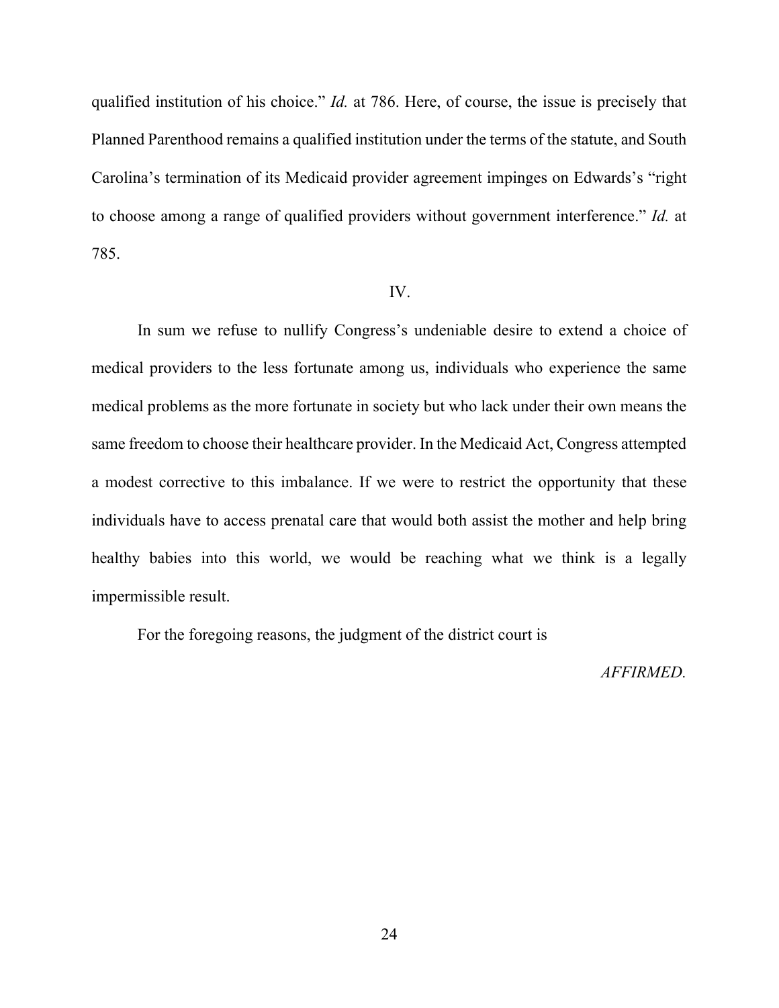qualified institution of his choice." *Id.* at 786. Here, of course, the issue is precisely that Planned Parenthood remains a qualified institution under the terms of the statute, and South Carolina's termination of its Medicaid provider agreement impinges on Edwards's "right to choose among a range of qualified providers without government interference." *Id.* at 785.

#### IV.

In sum we refuse to nullify Congress's undeniable desire to extend a choice of medical providers to the less fortunate among us, individuals who experience the same medical problems as the more fortunate in society but who lack under their own means the same freedom to choose their healthcare provider. In the Medicaid Act, Congress attempted a modest corrective to this imbalance. If we were to restrict the opportunity that these individuals have to access prenatal care that would both assist the mother and help bring healthy babies into this world, we would be reaching what we think is a legally impermissible result.

For the foregoing reasons, the judgment of the district court is

### *AFFIRMED.*